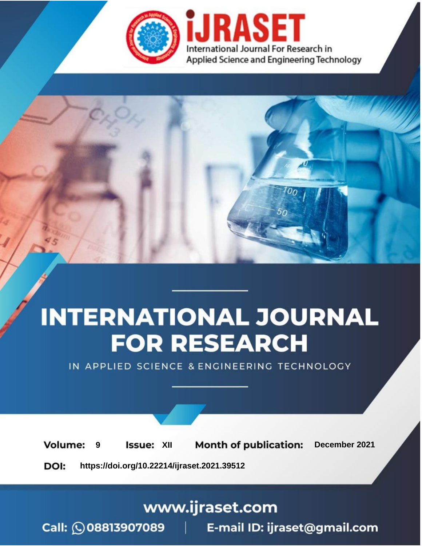

# **INTERNATIONAL JOURNAL FOR RESEARCH**

IN APPLIED SCIENCE & ENGINEERING TECHNOLOGY

**Month of publication: Volume: Issue: XII** December 2021 9 DOI: https://doi.org/10.22214/ijraset.2021.39512

www.ijraset.com

Call: 008813907089 | E-mail ID: ijraset@gmail.com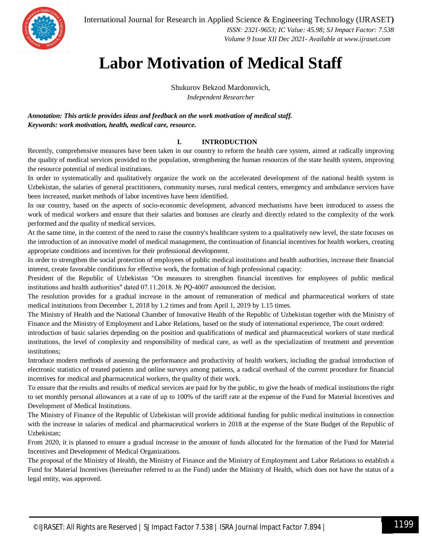

International Journal for Research in Applied Science & Engineering Technology (IJRASET**)**  *ISSN: 2321-9653; IC Value: 45.98; SJ Impact Factor: 7.538*

 *Volume 9 Issue XII Dec 2021- Available at www.ijraset.com*

### **Labor Motivation of Medical Staff**

Shukurov Bekzod Mardonovich,

*Independent Researcher*

*Annotation: This article provides ideas and feedback on the work motivation of medical staff. Keywords: work motivation, health, medical care, resource.*

#### **I. INTRODUCTION**

Recently, comprehensive measures have been taken in our country to reform the health care system, aimed at radically improving the quality of medical services provided to the population, strengthening the human resources of the state health system, improving the resource potential of medical institutions.

In order to systematically and qualitatively organize the work on the accelerated development of the national health system in Uzbekistan, the salaries of general practitioners, community nurses, rural medical centers, emergency and ambulance services have been increased, market methods of labor incentives have been identified.

In our country, based on the aspects of socio-economic development, advanced mechanisms have been introduced to assess the work of medical workers and ensure that their salaries and bonuses are clearly and directly related to the complexity of the work performed and the quality of medical services.

At the same time, in the context of the need to raise the country's healthcare system to a qualitatively new level, the state focuses on the introduction of an innovative model of medical management, the continuation of financial incentives for health workers, creating appropriate conditions and incentives for their professional development.

In order to strengthen the social protection of employees of public medical institutions and health authorities, increase their financial interest, create favorable conditions for effective work, the formation of high professional capacity:

President of the Republic of Uzbekistan "On measures to strengthen financial incentives for employees of public medical institutions and health authorities" dated 07.11.2018. № PQ-4007 announced the decision.

The resolution provides for a gradual increase in the amount of remuneration of medical and pharmaceutical workers of state medical institutions from December 1, 2018 by 1.2 times and from April 1, 2019 by 1.15 times.

The Ministry of Health and the National Chamber of Innovative Health of the Republic of Uzbekistan together with the Ministry of Finance and the Ministry of Employment and Labor Relations, based on the study of international experience, The court ordered:

introduction of basic salaries depending on the position and qualifications of medical and pharmaceutical workers of state medical institutions, the level of complexity and responsibility of medical care, as well as the specialization of treatment and prevention institutions;

Introduce modern methods of assessing the performance and productivity of health workers, including the gradual introduction of electronic statistics of treated patients and online surveys among patients, a radical overhaul of the current procedure for financial incentives for medical and pharmaceutical workers, the quality of their work.

To ensure that the results and results of medical services are paid for by the public, to give the heads of medical institutions the right to set monthly personal allowances at a rate of up to 100% of the tariff rate at the expense of the Fund for Material Incentives and Development of Medical Institutions.

The Ministry of Finance of the Republic of Uzbekistan will provide additional funding for public medical institutions in connection with the increase in salaries of medical and pharmaceutical workers in 2018 at the expense of the State Budget of the Republic of Uzbekistan;

From 2020, it is planned to ensure a gradual increase in the amount of funds allocated for the formation of the Fund for Material Incentives and Development of Medical Organizations.

The proposal of the Ministry of Health, the Ministry of Finance and the Ministry of Employment and Labor Relations to establish a Fund for Material Incentives (hereinafter referred to as the Fund) under the Ministry of Health, which does not have the status of a legal entity, was approved.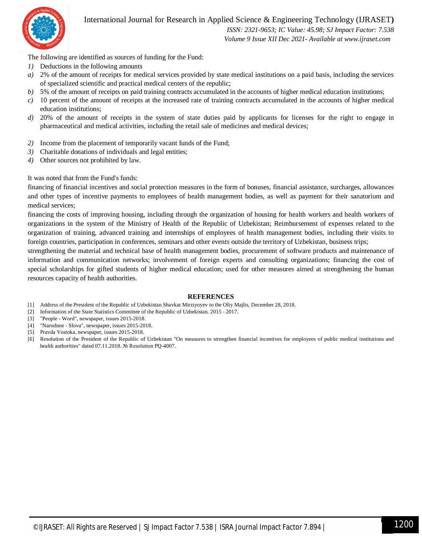

#### International Journal for Research in Applied Science & Engineering Technology (IJRASET**)**

 *ISSN: 2321-9653; IC Value: 45.98; SJ Impact Factor: 7.538 Volume 9 Issue XII Dec 2021- Available at www.ijraset.com*

The following are identified as sources of funding for the Fund:

- *1)* Deductions in the following amounts
- *a)* 2% of the amount of receipts for medical services provided by state medical institutions on a paid basis, including the services of specialized scientific and practical medical centers of the republic;
- *b*) 5% of the amount of receipts on paid training contracts accumulated in the accounts of higher medical education institutions;
- *c)* 10 percent of the amount of receipts at the increased rate of training contracts accumulated in the accounts of higher medical education institutions;
- *d)* 20% of the amount of receipts in the system of state duties paid by applicants for licenses for the right to engage in pharmaceutical and medical activities, including the retail sale of medicines and medical devices;
- *2)* Income from the placement of temporarily vacant funds of the Fund;
- *3)* Charitable donations of individuals and legal entities;
- *4)* Other sources not prohibited by law.

It was noted that from the Fund's funds:

financing of financial incentives and social protection measures in the form of bonuses, financial assistance, surcharges, allowances and other types of incentive payments to employees of health management bodies, as well as payment for their sanatorium and medical services;

financing the costs of improving housing, including through the organization of housing for health workers and health workers of organizations in the system of the Ministry of Health of the Republic of Uzbekistan; Reimbursement of expenses related to the organization of training, advanced training and internships of employees of health management bodies, including their visits to foreign countries, participation in conferences, seminars and other events outside the territory of Uzbekistan, business trips;

strengthening the material and technical base of health management bodies, procurement of software products and maintenance of information and communication networks; involvement of foreign experts and consulting organizations; financing the cost of special scholarships for gifted students of higher medical education; used for other measures aimed at strengthening the human resources capacity of health authorities.

#### **REFERENCES**

- [1] Address of the President of the Republic of Uzbekistan Shavkat Mirziyoyev to the Oliy Majlis, December 28, 2018.
- [2] Information of the State Statistics Committee of the Republic of Uzbekistan. 2015 2017.
- [3] "People Word", newspaper, issues 2015-2018.
- [4] "Narodnoe Slova", newspaper, issues 2015-2018.
- [5] Pravda Vostoka, newspaper, issues 2015-2018.
- [6] Resolution of the President of the Republic of Uzbekistan "On measures to strengthen financial incentives for employees of public medical institutions and health authorities" dated 07.11.2018. № Resolution PQ-4007.